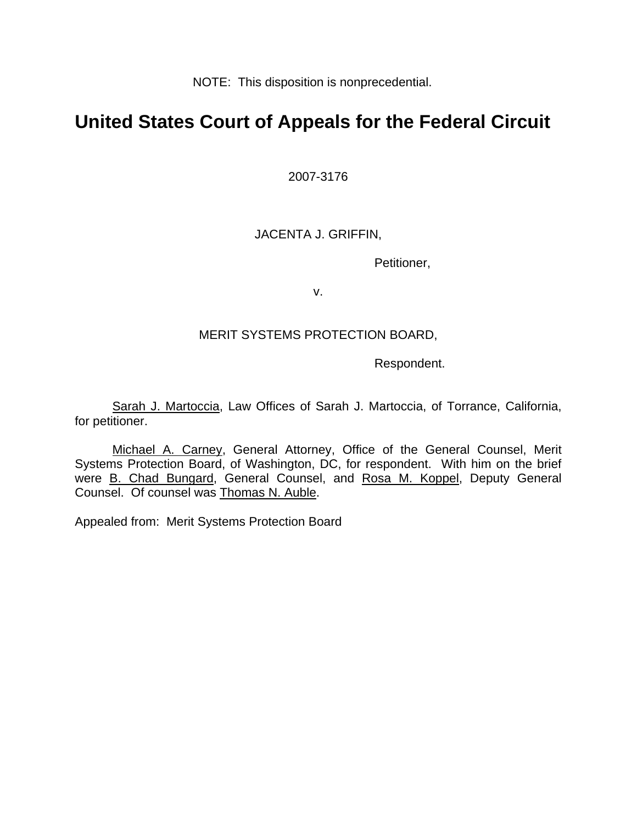NOTE: This disposition is nonprecedential.

# **United States Court of Appeals for the Federal Circuit**

2007-3176

## JACENTA J. GRIFFIN,

Petitioner,

v.

### MERIT SYSTEMS PROTECTION BOARD,

Respondent.

Sarah J. Martoccia, Law Offices of Sarah J. Martoccia, of Torrance, California, for petitioner.

Michael A. Carney, General Attorney, Office of the General Counsel, Merit Systems Protection Board, of Washington, DC, for respondent. With him on the brief were B. Chad Bungard, General Counsel, and Rosa M. Koppel, Deputy General Counsel. Of counsel was Thomas N. Auble.

Appealed from: Merit Systems Protection Board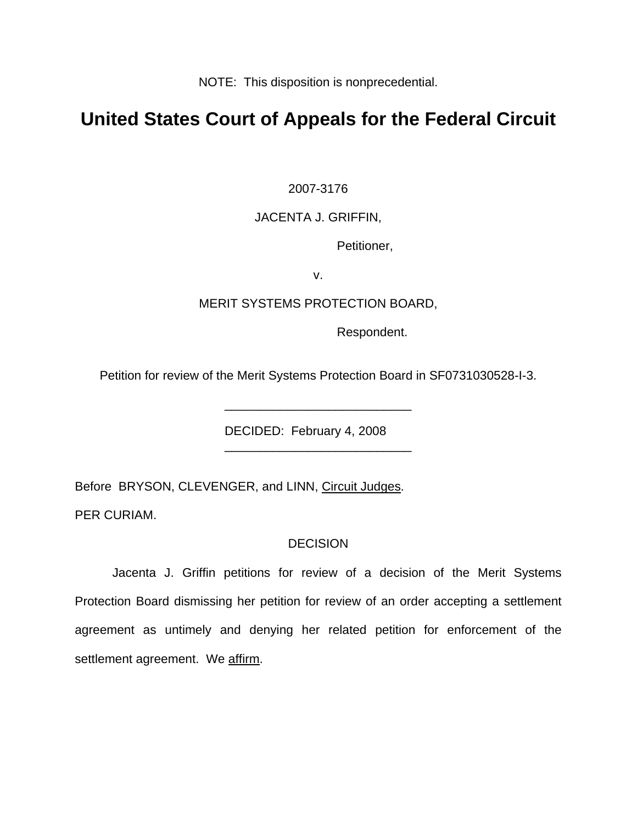NOTE: This disposition is nonprecedential.

## **United States Court of Appeals for the Federal Circuit**

2007-3176

### JACENTA J. GRIFFIN,

Petitioner,

v.

#### MERIT SYSTEMS PROTECTION BOARD,

Respondent.

Petition for review of the Merit Systems Protection Board in SF0731030528-I-3.

\_\_\_\_\_\_\_\_\_\_\_\_\_\_\_\_\_\_\_\_\_\_\_\_\_\_\_

\_\_\_\_\_\_\_\_\_\_\_\_\_\_\_\_\_\_\_\_\_\_\_\_\_\_\_

DECIDED: February 4, 2008

Before BRYSON, CLEVENGER, and LINN, Circuit Judges.

PER CURIAM.

#### **DECISION**

 Jacenta J. Griffin petitions for review of a decision of the Merit Systems Protection Board dismissing her petition for review of an order accepting a settlement agreement as untimely and denying her related petition for enforcement of the settlement agreement. We affirm.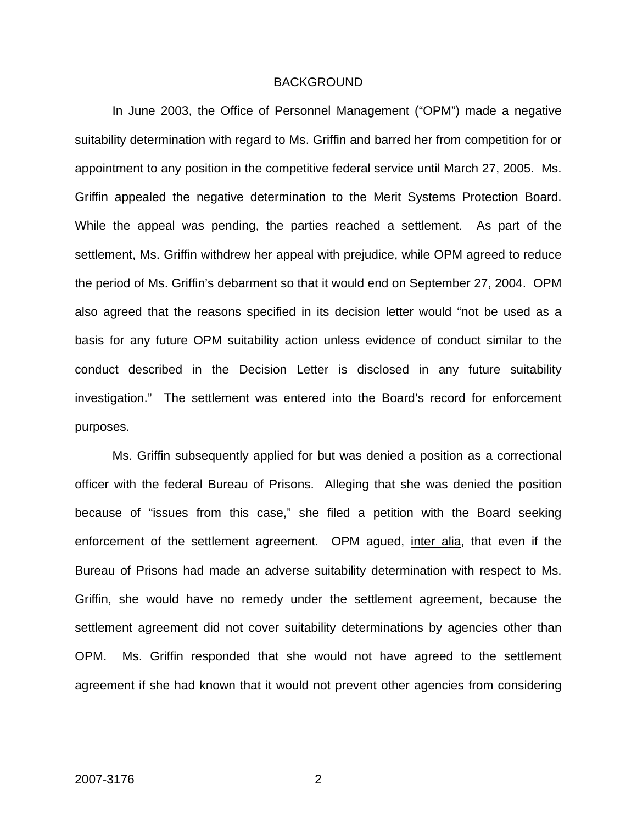#### BACKGROUND

In June 2003, the Office of Personnel Management ("OPM") made a negative suitability determination with regard to Ms. Griffin and barred her from competition for or appointment to any position in the competitive federal service until March 27, 2005. Ms. Griffin appealed the negative determination to the Merit Systems Protection Board. While the appeal was pending, the parties reached a settlement. As part of the settlement, Ms. Griffin withdrew her appeal with prejudice, while OPM agreed to reduce the period of Ms. Griffin's debarment so that it would end on September 27, 2004. OPM also agreed that the reasons specified in its decision letter would "not be used as a basis for any future OPM suitability action unless evidence of conduct similar to the conduct described in the Decision Letter is disclosed in any future suitability investigation." The settlement was entered into the Board's record for enforcement purposes.

 Ms. Griffin subsequently applied for but was denied a position as a correctional officer with the federal Bureau of Prisons. Alleging that she was denied the position because of "issues from this case," she filed a petition with the Board seeking enforcement of the settlement agreement. OPM agued, inter alia, that even if the Bureau of Prisons had made an adverse suitability determination with respect to Ms. Griffin, she would have no remedy under the settlement agreement, because the settlement agreement did not cover suitability determinations by agencies other than OPM. Ms. Griffin responded that she would not have agreed to the settlement agreement if she had known that it would not prevent other agencies from considering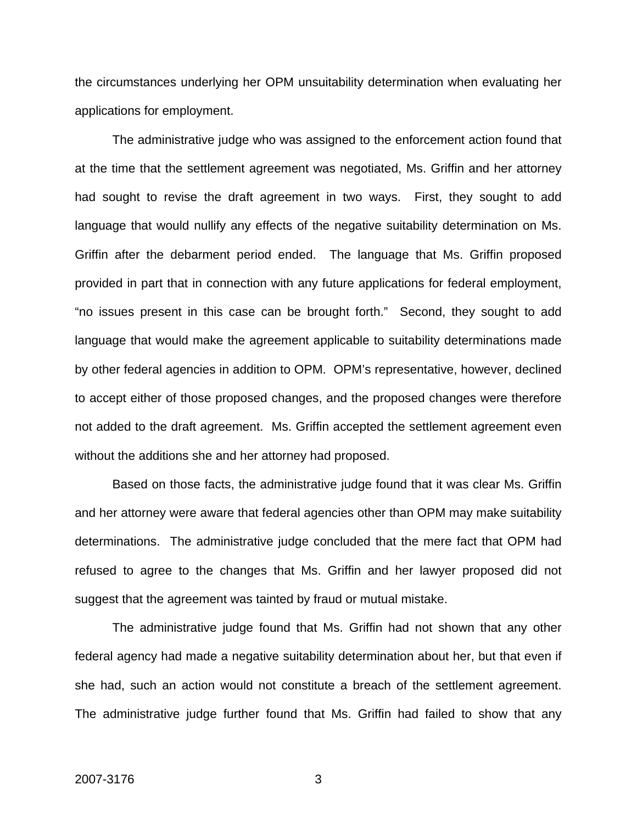the circumstances underlying her OPM unsuitability determination when evaluating her applications for employment.

The administrative judge who was assigned to the enforcement action found that at the time that the settlement agreement was negotiated, Ms. Griffin and her attorney had sought to revise the draft agreement in two ways. First, they sought to add language that would nullify any effects of the negative suitability determination on Ms. Griffin after the debarment period ended. The language that Ms. Griffin proposed provided in part that in connection with any future applications for federal employment, "no issues present in this case can be brought forth." Second, they sought to add language that would make the agreement applicable to suitability determinations made by other federal agencies in addition to OPM. OPM's representative, however, declined to accept either of those proposed changes, and the proposed changes were therefore not added to the draft agreement. Ms. Griffin accepted the settlement agreement even without the additions she and her attorney had proposed.

Based on those facts, the administrative judge found that it was clear Ms. Griffin and her attorney were aware that federal agencies other than OPM may make suitability determinations. The administrative judge concluded that the mere fact that OPM had refused to agree to the changes that Ms. Griffin and her lawyer proposed did not suggest that the agreement was tainted by fraud or mutual mistake.

The administrative judge found that Ms. Griffin had not shown that any other federal agency had made a negative suitability determination about her, but that even if she had, such an action would not constitute a breach of the settlement agreement. The administrative judge further found that Ms. Griffin had failed to show that any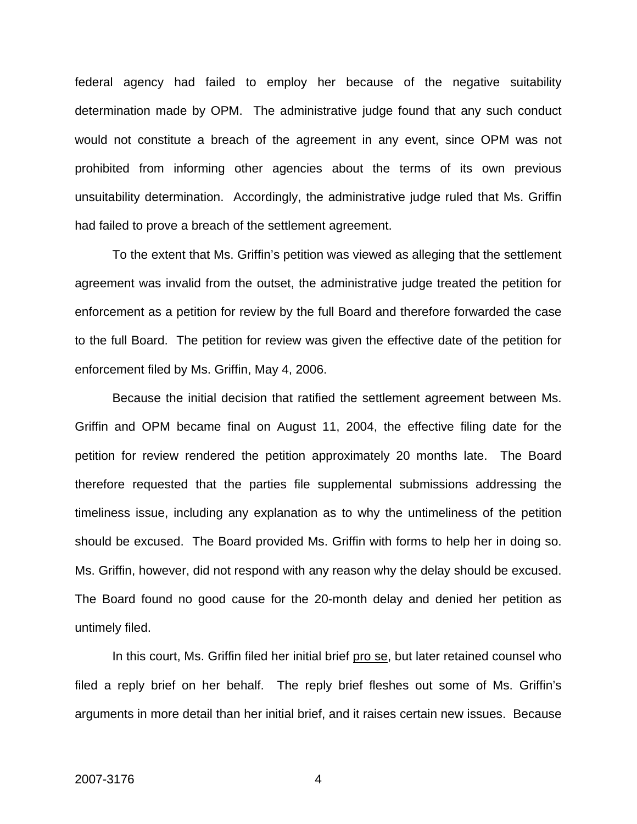federal agency had failed to employ her because of the negative suitability determination made by OPM. The administrative judge found that any such conduct would not constitute a breach of the agreement in any event, since OPM was not prohibited from informing other agencies about the terms of its own previous unsuitability determination. Accordingly, the administrative judge ruled that Ms. Griffin had failed to prove a breach of the settlement agreement.

To the extent that Ms. Griffin's petition was viewed as alleging that the settlement agreement was invalid from the outset, the administrative judge treated the petition for enforcement as a petition for review by the full Board and therefore forwarded the case to the full Board. The petition for review was given the effective date of the petition for enforcement filed by Ms. Griffin, May 4, 2006.

Because the initial decision that ratified the settlement agreement between Ms. Griffin and OPM became final on August 11, 2004, the effective filing date for the petition for review rendered the petition approximately 20 months late. The Board therefore requested that the parties file supplemental submissions addressing the timeliness issue, including any explanation as to why the untimeliness of the petition should be excused. The Board provided Ms. Griffin with forms to help her in doing so. Ms. Griffin, however, did not respond with any reason why the delay should be excused. The Board found no good cause for the 20-month delay and denied her petition as untimely filed.

In this court, Ms. Griffin filed her initial brief pro se, but later retained counsel who filed a reply brief on her behalf. The reply brief fleshes out some of Ms. Griffin's arguments in more detail than her initial brief, and it raises certain new issues. Because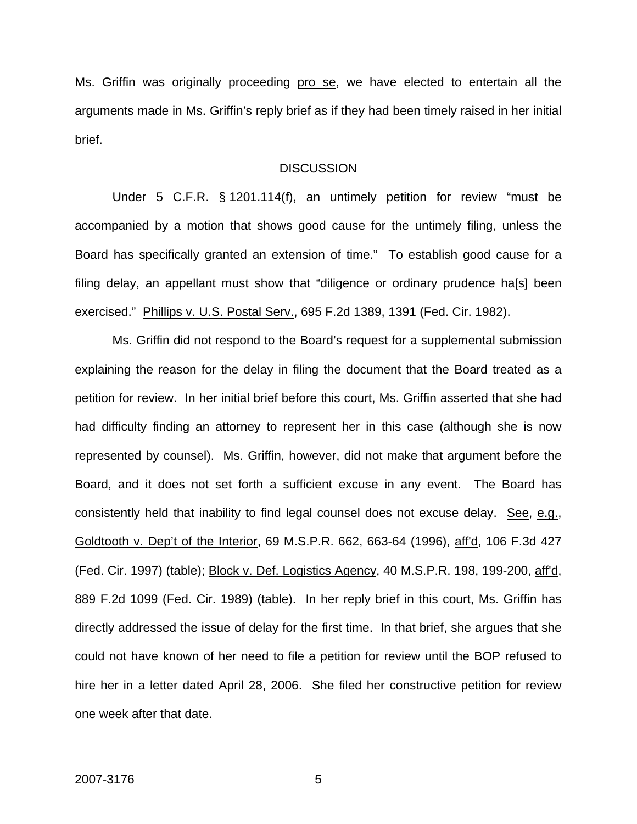Ms. Griffin was originally proceeding pro se, we have elected to entertain all the arguments made in Ms. Griffin's reply brief as if they had been timely raised in her initial brief.

#### **DISCUSSION**

Under 5 C.F.R. § 1201.114(f), an untimely petition for review "must be accompanied by a motion that shows good cause for the untimely filing, unless the Board has specifically granted an extension of time." To establish good cause for a filing delay, an appellant must show that "diligence or ordinary prudence ha[s] been exercised." Phillips v. U.S. Postal Serv., 695 F.2d 1389, 1391 (Fed. Cir. 1982).

Ms. Griffin did not respond to the Board's request for a supplemental submission explaining the reason for the delay in filing the document that the Board treated as a petition for review. In her initial brief before this court, Ms. Griffin asserted that she had had difficulty finding an attorney to represent her in this case (although she is now represented by counsel). Ms. Griffin, however, did not make that argument before the Board, and it does not set forth a sufficient excuse in any event. The Board has consistently held that inability to find legal counsel does not excuse delay. See, e.g., Goldtooth v. Dep't of the Interior, 69 M.S.P.R. 662, 663-64 (1996), aff'd, 106 F.3d 427 (Fed. Cir. 1997) (table); Block v. Def. Logistics Agency, 40 M.S.P.R. 198, 199-200, aff'd, 889 F.2d 1099 (Fed. Cir. 1989) (table). In her reply brief in this court, Ms. Griffin has directly addressed the issue of delay for the first time. In that brief, she argues that she could not have known of her need to file a petition for review until the BOP refused to hire her in a letter dated April 28, 2006. She filed her constructive petition for review one week after that date.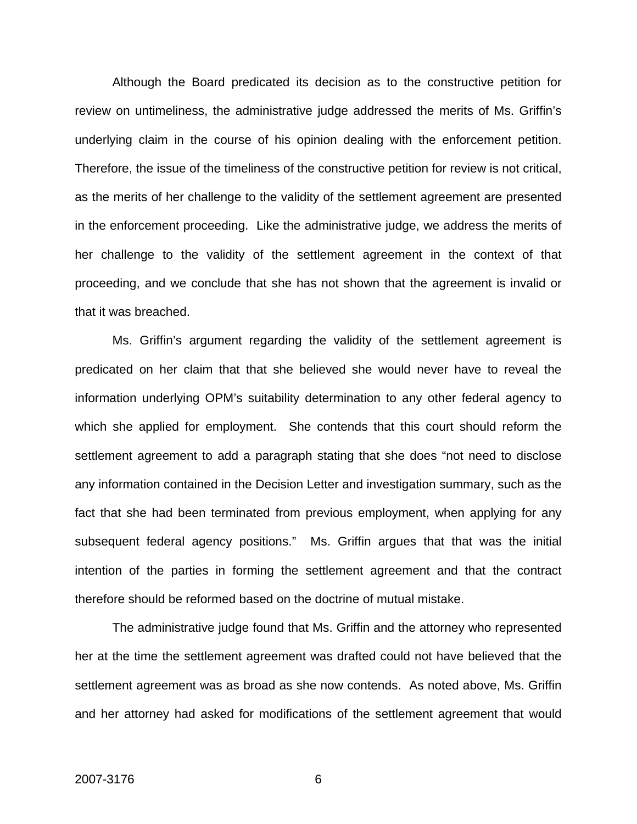Although the Board predicated its decision as to the constructive petition for review on untimeliness, the administrative judge addressed the merits of Ms. Griffin's underlying claim in the course of his opinion dealing with the enforcement petition. Therefore, the issue of the timeliness of the constructive petition for review is not critical, as the merits of her challenge to the validity of the settlement agreement are presented in the enforcement proceeding. Like the administrative judge, we address the merits of her challenge to the validity of the settlement agreement in the context of that proceeding, and we conclude that she has not shown that the agreement is invalid or that it was breached.

Ms. Griffin's argument regarding the validity of the settlement agreement is predicated on her claim that that she believed she would never have to reveal the information underlying OPM's suitability determination to any other federal agency to which she applied for employment. She contends that this court should reform the settlement agreement to add a paragraph stating that she does "not need to disclose any information contained in the Decision Letter and investigation summary, such as the fact that she had been terminated from previous employment, when applying for any subsequent federal agency positions." Ms. Griffin argues that that was the initial intention of the parties in forming the settlement agreement and that the contract therefore should be reformed based on the doctrine of mutual mistake.

The administrative judge found that Ms. Griffin and the attorney who represented her at the time the settlement agreement was drafted could not have believed that the settlement agreement was as broad as she now contends. As noted above, Ms. Griffin and her attorney had asked for modifications of the settlement agreement that would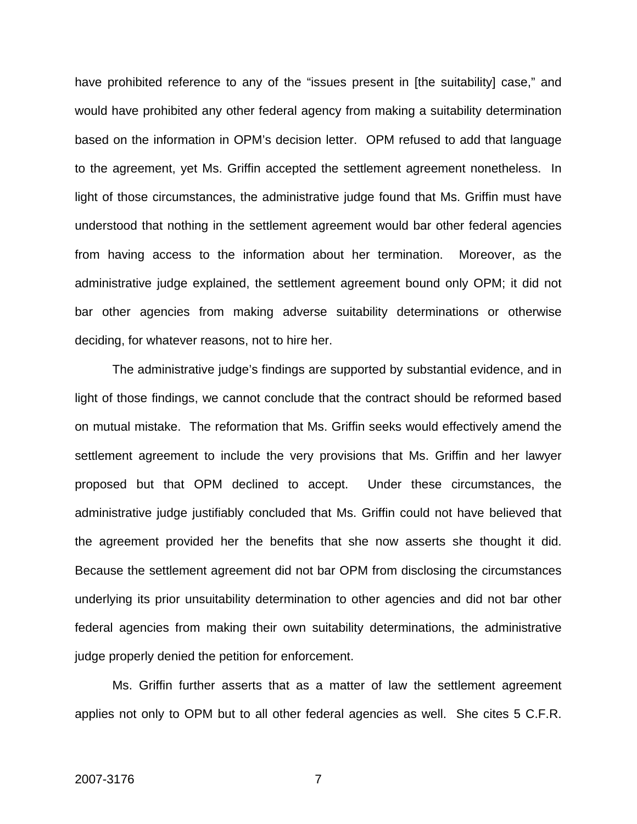have prohibited reference to any of the "issues present in [the suitability] case," and would have prohibited any other federal agency from making a suitability determination based on the information in OPM's decision letter. OPM refused to add that language to the agreement, yet Ms. Griffin accepted the settlement agreement nonetheless. In light of those circumstances, the administrative judge found that Ms. Griffin must have understood that nothing in the settlement agreement would bar other federal agencies from having access to the information about her termination. Moreover, as the administrative judge explained, the settlement agreement bound only OPM; it did not bar other agencies from making adverse suitability determinations or otherwise deciding, for whatever reasons, not to hire her.

The administrative judge's findings are supported by substantial evidence, and in light of those findings, we cannot conclude that the contract should be reformed based on mutual mistake. The reformation that Ms. Griffin seeks would effectively amend the settlement agreement to include the very provisions that Ms. Griffin and her lawyer proposed but that OPM declined to accept. Under these circumstances, the administrative judge justifiably concluded that Ms. Griffin could not have believed that the agreement provided her the benefits that she now asserts she thought it did. Because the settlement agreement did not bar OPM from disclosing the circumstances underlying its prior unsuitability determination to other agencies and did not bar other federal agencies from making their own suitability determinations, the administrative judge properly denied the petition for enforcement.

Ms. Griffin further asserts that as a matter of law the settlement agreement applies not only to OPM but to all other federal agencies as well. She cites 5 C.F.R.